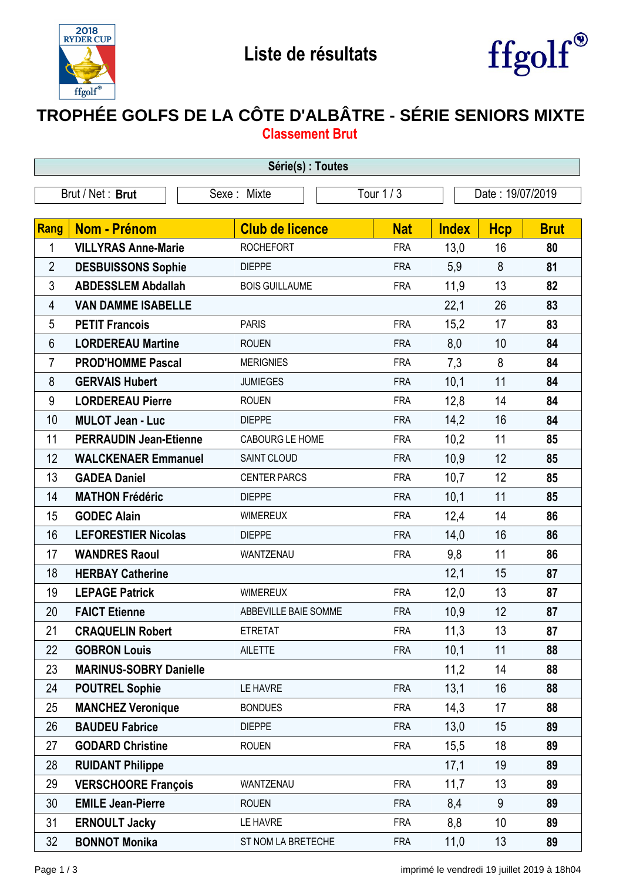



## **TROPHÉE GOLFS DE LA CÔTE D'ALBÂTRE - SÉRIE SENIORS MIXTE Classement Brut**

| Série(s) : Toutes |                               |                        |            |                  |            |             |  |
|-------------------|-------------------------------|------------------------|------------|------------------|------------|-------------|--|
|                   | Brut / Net: Brut              | Sexe: Mixte            | Tour $1/3$ | Date: 19/07/2019 |            |             |  |
|                   |                               |                        |            |                  |            |             |  |
| Rang              | <b>Nom - Prénom</b>           | <b>Club de licence</b> | <b>Nat</b> | <b>Index</b>     | <b>Hcp</b> | <b>Brut</b> |  |
| 1                 | <b>VILLYRAS Anne-Marie</b>    | <b>ROCHEFORT</b>       | <b>FRA</b> | 13,0             | 16         | 80          |  |
| $\overline{2}$    | <b>DESBUISSONS Sophie</b>     | <b>DIEPPE</b>          | <b>FRA</b> | 5,9              | 8          | 81          |  |
| 3                 | <b>ABDESSLEM Abdallah</b>     | <b>BOIS GUILLAUME</b>  | <b>FRA</b> | 11,9             | 13         | 82          |  |
| 4                 | <b>VAN DAMME ISABELLE</b>     |                        |            | 22,1             | 26         | 83          |  |
| 5                 | <b>PETIT Francois</b>         | <b>PARIS</b>           | <b>FRA</b> | 15,2             | 17         | 83          |  |
| 6                 | <b>LORDEREAU Martine</b>      | <b>ROUEN</b>           | <b>FRA</b> | 8,0              | 10         | 84          |  |
| 7                 | <b>PROD'HOMME Pascal</b>      | <b>MERIGNIES</b>       | <b>FRA</b> | 7,3              | 8          | 84          |  |
| 8                 | <b>GERVAIS Hubert</b>         | <b>JUMIEGES</b>        | <b>FRA</b> | 10,1             | 11         | 84          |  |
| 9                 | <b>LORDEREAU Pierre</b>       | <b>ROUEN</b>           | <b>FRA</b> | 12,8             | 14         | 84          |  |
| 10                | <b>MULOT Jean - Luc</b>       | <b>DIEPPE</b>          | <b>FRA</b> | 14,2             | 16         | 84          |  |
| 11                | <b>PERRAUDIN Jean-Etienne</b> | CABOURG LE HOME        | <b>FRA</b> | 10,2             | 11         | 85          |  |
| 12                | <b>WALCKENAER Emmanuel</b>    | SAINT CLOUD            | <b>FRA</b> | 10,9             | 12         | 85          |  |
| 13                | <b>GADEA Daniel</b>           | <b>CENTER PARCS</b>    | <b>FRA</b> | 10,7             | 12         | 85          |  |
| 14                | <b>MATHON Frédéric</b>        | <b>DIEPPE</b>          | <b>FRA</b> | 10,1             | 11         | 85          |  |
| 15                | <b>GODEC Alain</b>            | <b>WIMEREUX</b>        | <b>FRA</b> | 12,4             | 14         | 86          |  |
| 16                | <b>LEFORESTIER Nicolas</b>    | <b>DIEPPE</b>          | <b>FRA</b> | 14,0             | 16         | 86          |  |
| 17                | <b>WANDRES Raoul</b>          | WANTZENAU              | <b>FRA</b> | 9,8              | 11         | 86          |  |
| 18                | <b>HERBAY Catherine</b>       |                        |            | 12,1             | 15         | 87          |  |
| 19                | <b>LEPAGE Patrick</b>         | <b>WIMEREUX</b>        | <b>FRA</b> | 12,0             | 13         | 87          |  |
| 20                | <b>FAICT Etienne</b>          | ABBEVILLE BAIE SOMME   | <b>FRA</b> | 10,9             | 12         | 87          |  |
| 21                | <b>CRAQUELIN Robert</b>       | <b>ETRETAT</b>         | <b>FRA</b> | 11,3             | 13         | 87          |  |
| 22                | <b>GOBRON Louis</b>           | <b>AILETTE</b>         | <b>FRA</b> | 10,1             | 11         | 88          |  |
| 23                | <b>MARINUS-SOBRY Danielle</b> |                        |            | 11,2             | 14         | 88          |  |
| 24                | <b>POUTREL Sophie</b>         | LE HAVRE               | <b>FRA</b> | 13,1             | 16         | 88          |  |
| 25                | <b>MANCHEZ Veronique</b>      | <b>BONDUES</b>         | <b>FRA</b> | 14,3             | 17         | 88          |  |
| 26                | <b>BAUDEU Fabrice</b>         | <b>DIEPPE</b>          | <b>FRA</b> | 13,0             | 15         | 89          |  |
| 27                | <b>GODARD Christine</b>       | <b>ROUEN</b>           | <b>FRA</b> | 15,5             | 18         | 89          |  |
| 28                | <b>RUIDANT Philippe</b>       |                        |            | 17,1             | 19         | 89          |  |
| 29                | <b>VERSCHOORE François</b>    | WANTZENAU              | <b>FRA</b> | 11,7             | 13         | 89          |  |
| 30                | <b>EMILE Jean-Pierre</b>      | <b>ROUEN</b>           | <b>FRA</b> | 8,4              | 9          | 89          |  |
| 31                | <b>ERNOULT Jacky</b>          | LE HAVRE               | <b>FRA</b> | 8,8              | 10         | 89          |  |
| 32                | <b>BONNOT Monika</b>          | ST NOM LA BRETECHE     | <b>FRA</b> | 11,0             | 13         | 89          |  |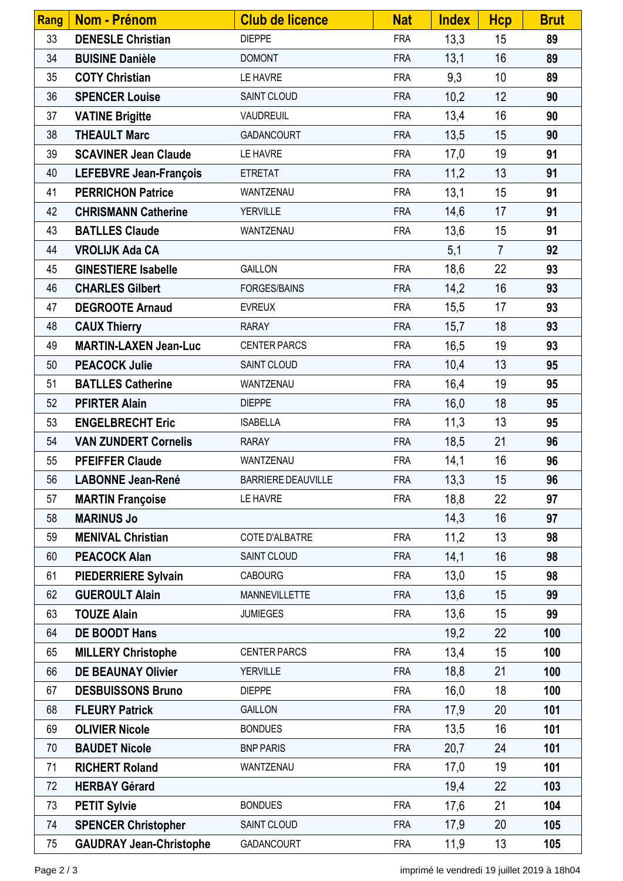| Rang | <b>Nom - Prénom</b>            | <b>Club de licence</b>    | <b>Nat</b> | <b>Index</b> | <b>Hcp</b>     | <b>Brut</b> |
|------|--------------------------------|---------------------------|------------|--------------|----------------|-------------|
| 33   | <b>DENESLE Christian</b>       | <b>DIEPPE</b>             | <b>FRA</b> | 13,3         | 15             | 89          |
| 34   | <b>BUISINE Danièle</b>         | <b>DOMONT</b>             | <b>FRA</b> | 13,1         | 16             | 89          |
| 35   | <b>COTY Christian</b>          | LE HAVRE                  | <b>FRA</b> | 9,3          | 10             | 89          |
| 36   | <b>SPENCER Louise</b>          | SAINT CLOUD               | <b>FRA</b> | 10,2         | 12             | 90          |
| 37   | <b>VATINE Brigitte</b>         | VAUDREUIL                 | <b>FRA</b> | 13,4         | 16             | 90          |
| 38   | <b>THEAULT Marc</b>            | GADANCOURT                | <b>FRA</b> | 13,5         | 15             | 90          |
| 39   | <b>SCAVINER Jean Claude</b>    | LE HAVRE                  | <b>FRA</b> | 17,0         | 19             | 91          |
| 40   | <b>LEFEBVRE Jean-François</b>  | <b>ETRETAT</b>            | <b>FRA</b> | 11,2         | 13             | 91          |
| 41   | <b>PERRICHON Patrice</b>       | WANTZENAU                 | <b>FRA</b> | 13,1         | 15             | 91          |
| 42   | <b>CHRISMANN Catherine</b>     | <b>YERVILLE</b>           | <b>FRA</b> | 14,6         | 17             | 91          |
| 43   | <b>BATLLES Claude</b>          | WANTZENAU                 | <b>FRA</b> | 13,6         | 15             | 91          |
| 44   | <b>VROLIJK Ada CA</b>          |                           |            | 5,1          | $\overline{7}$ | 92          |
| 45   | <b>GINESTIERE Isabelle</b>     | <b>GAILLON</b>            | <b>FRA</b> | 18,6         | 22             | 93          |
| 46   | <b>CHARLES Gilbert</b>         | <b>FORGES/BAINS</b>       | <b>FRA</b> | 14,2         | 16             | 93          |
| 47   | <b>DEGROOTE Arnaud</b>         | <b>EVREUX</b>             | <b>FRA</b> | 15,5         | 17             | 93          |
| 48   | <b>CAUX Thierry</b>            | <b>RARAY</b>              | <b>FRA</b> | 15,7         | 18             | 93          |
| 49   | <b>MARTIN-LAXEN Jean-Luc</b>   | <b>CENTER PARCS</b>       | <b>FRA</b> | 16,5         | 19             | 93          |
| 50   | <b>PEACOCK Julie</b>           | SAINT CLOUD               | <b>FRA</b> | 10,4         | 13             | 95          |
| 51   | <b>BATLLES Catherine</b>       | WANTZENAU                 | <b>FRA</b> | 16,4         | 19             | 95          |
| 52   | <b>PFIRTER Alain</b>           | <b>DIEPPE</b>             | <b>FRA</b> | 16,0         | 18             | 95          |
| 53   | <b>ENGELBRECHT Eric</b>        | <b>ISABELLA</b>           | <b>FRA</b> | 11,3         | 13             | 95          |
| 54   | <b>VAN ZUNDERT Cornelis</b>    | <b>RARAY</b>              | <b>FRA</b> | 18,5         | 21             | 96          |
| 55   | <b>PFEIFFER Claude</b>         | WANTZENAU                 | <b>FRA</b> | 14,1         | 16             | 96          |
| 56   | <b>LABONNE Jean-René</b>       | <b>BARRIERE DEAUVILLE</b> | <b>FRA</b> | 13,3         | 15             | 96          |
| 57   | <b>MARTIN Françoise</b>        | LE HAVRE                  | <b>FRA</b> | 18,8         | 22             | 97          |
| 58   | <b>MARINUS Jo</b>              |                           |            | 14,3         | 16             | 97          |
| 59   | <b>MENIVAL Christian</b>       | COTE D'ALBATRE            | <b>FRA</b> | 11,2         | 13             | 98          |
| 60   | <b>PEACOCK Alan</b>            | SAINT CLOUD               | <b>FRA</b> | 14,1         | 16             | 98          |
| 61   | <b>PIEDERRIERE Sylvain</b>     | <b>CABOURG</b>            | <b>FRA</b> | 13,0         | 15             | 98          |
| 62   | <b>GUEROULT Alain</b>          | <b>MANNEVILLETTE</b>      | <b>FRA</b> | 13,6         | 15             | 99          |
| 63   | <b>TOUZE Alain</b>             | <b>JUMIEGES</b>           | <b>FRA</b> | 13,6         | 15             | 99          |
| 64   | <b>DE BOODT Hans</b>           |                           |            | 19,2         | 22             | 100         |
| 65   | <b>MILLERY Christophe</b>      | <b>CENTER PARCS</b>       | <b>FRA</b> | 13,4         | 15             | 100         |
| 66   | <b>DE BEAUNAY Olivier</b>      | <b>YERVILLE</b>           | <b>FRA</b> | 18,8         | 21             | 100         |
| 67   | <b>DESBUISSONS Bruno</b>       | <b>DIEPPE</b>             | <b>FRA</b> | 16,0         | 18             | 100         |
| 68   | <b>FLEURY Patrick</b>          | <b>GAILLON</b>            | <b>FRA</b> | 17,9         | 20             | 101         |
| 69   | <b>OLIVIER Nicole</b>          | <b>BONDUES</b>            | <b>FRA</b> | 13,5         | 16             | 101         |
| 70   | <b>BAUDET Nicole</b>           | <b>BNP PARIS</b>          | <b>FRA</b> | 20,7         | 24             | 101         |
| 71   | <b>RICHERT Roland</b>          | WANTZENAU                 | <b>FRA</b> | 17,0         | 19             | 101         |
| 72   | <b>HERBAY Gérard</b>           |                           |            | 19,4         | 22             | 103         |
| 73   | <b>PETIT Sylvie</b>            | <b>BONDUES</b>            | <b>FRA</b> | 17,6         | 21             | 104         |
| 74   | <b>SPENCER Christopher</b>     | SAINT CLOUD               | <b>FRA</b> | 17,9         | 20             | 105         |
| 75   | <b>GAUDRAY Jean-Christophe</b> | GADANCOURT                | <b>FRA</b> | 11,9         | 13             | 105         |